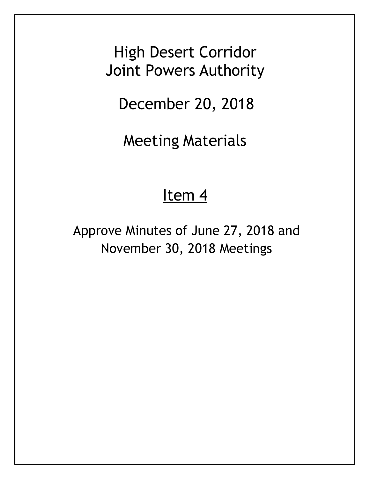High Desert Corridor Joint Powers Authority

December 20, 2018

Meeting Materials

# Item<sub>4</sub>

Approve Minutes of June 27, 2018 and November 30, 2018 Meetings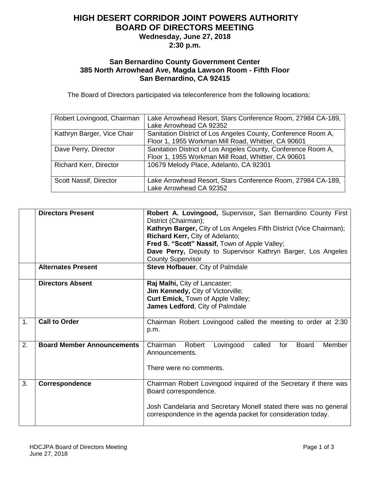## **HIGH DESERT CORRIDOR JOINT POWERS AUTHORITY BOARD OF DIRECTORS MEETING Wednesday, June 27, 2018**

**2:30 p.m.**

#### **San Bernardino County Government Center 385 North Arrowhead Ave, Magda Lawson Room - Fifth Floor San Bernardino, CA 92415**

The Board of Directors participated via teleconference from the following locations:

| Robert Lovingood, Chairman    | Lake Arrowhead Resort, Stars Conference Room, 27984 CA-189,<br>Lake Arrowhead CA 92352                               |
|-------------------------------|----------------------------------------------------------------------------------------------------------------------|
| Kathryn Barger, Vice Chair    | Sanitation District of Los Angeles County, Conference Room A,<br>Floor 1, 1955 Workman Mill Road, Whittier, CA 90601 |
| Dave Perry, Director          | Sanitation District of Los Angeles County, Conference Room A,<br>Floor 1, 1955 Workman Mill Road, Whittier, CA 90601 |
| <b>Richard Kerr, Director</b> | 10679 Melody Place, Adelanto, CA 92301                                                                               |
| Scott Nassif, Director        | Lake Arrowhead Resort, Stars Conference Room, 27984 CA-189,<br>Lake Arrowhead CA 92352                               |

|                | <b>Directors Present</b>          | Robert A. Lovingood, Supervisor, San Bernardino County First<br>District (Chairman); |
|----------------|-----------------------------------|--------------------------------------------------------------------------------------|
|                |                                   | Kathryn Barger, City of Los Angeles Fifth District (Vice Chairman);                  |
|                |                                   |                                                                                      |
|                |                                   | Richard Kerr, City of Adelanto;                                                      |
|                |                                   | Fred S. "Scott" Nassif, Town of Apple Valley;                                        |
|                |                                   | Dave Perry, Deputy to Supervisor Kathryn Barger, Los Angeles                         |
|                | <b>Alternates Present</b>         | <b>County Supervisor</b>                                                             |
|                |                                   | Steve Hofbauer, City of Palmdale                                                     |
|                | <b>Directors Absent</b>           | Raj Malhi, City of Lancaster;                                                        |
|                |                                   | Jim Kennedy, City of Victorville;                                                    |
|                |                                   | Curt Emick, Town of Apple Valley;                                                    |
|                |                                   | James Ledford, City of Palmdale                                                      |
|                |                                   |                                                                                      |
| 1 <sub>1</sub> | <b>Call to Order</b>              | Chairman Robert Lovingood called the meeting to order at 2:30                        |
|                |                                   | p.m.                                                                                 |
|                |                                   |                                                                                      |
| 2.             | <b>Board Member Announcements</b> | Robert<br>Lovingood<br>called<br>Member<br>Chairman<br>for<br><b>Board</b>           |
|                |                                   | Announcements.                                                                       |
|                |                                   |                                                                                      |
|                |                                   | There were no comments.                                                              |
|                |                                   |                                                                                      |
| 3.             | Correspondence                    | Chairman Robert Lovingood inquired of the Secretary if there was                     |
|                |                                   | Board correspondence.                                                                |
|                |                                   |                                                                                      |
|                |                                   | Josh Candelaria and Secretary Monell stated there was no general                     |
|                |                                   | correspondence in the agenda packet for consideration today.                         |
|                |                                   |                                                                                      |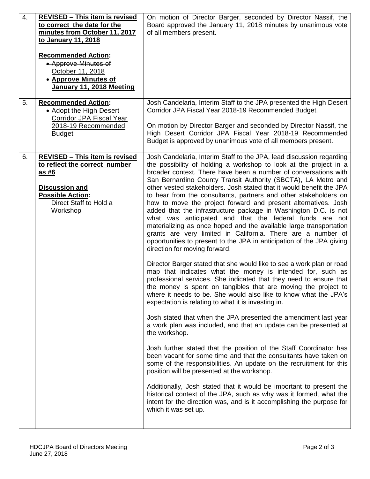| On motion of Director Barger, seconded by Director Nassif, the<br>Board approved the January 11, 2018 minutes by unanimous vote                                                                                                                                                                                                                                                                                                                                                                                                                                                                                                                                                                                                                                                                                                                                                                                                                                                                                                                                                                                                                                                                                                                                                                                                                                                                                                                                                                                                                                                                                                                                                                                                                                                                                                                                                                                                                           |
|-----------------------------------------------------------------------------------------------------------------------------------------------------------------------------------------------------------------------------------------------------------------------------------------------------------------------------------------------------------------------------------------------------------------------------------------------------------------------------------------------------------------------------------------------------------------------------------------------------------------------------------------------------------------------------------------------------------------------------------------------------------------------------------------------------------------------------------------------------------------------------------------------------------------------------------------------------------------------------------------------------------------------------------------------------------------------------------------------------------------------------------------------------------------------------------------------------------------------------------------------------------------------------------------------------------------------------------------------------------------------------------------------------------------------------------------------------------------------------------------------------------------------------------------------------------------------------------------------------------------------------------------------------------------------------------------------------------------------------------------------------------------------------------------------------------------------------------------------------------------------------------------------------------------------------------------------------------|
| of all members present.                                                                                                                                                                                                                                                                                                                                                                                                                                                                                                                                                                                                                                                                                                                                                                                                                                                                                                                                                                                                                                                                                                                                                                                                                                                                                                                                                                                                                                                                                                                                                                                                                                                                                                                                                                                                                                                                                                                                   |
|                                                                                                                                                                                                                                                                                                                                                                                                                                                                                                                                                                                                                                                                                                                                                                                                                                                                                                                                                                                                                                                                                                                                                                                                                                                                                                                                                                                                                                                                                                                                                                                                                                                                                                                                                                                                                                                                                                                                                           |
| Josh Candelaria, Interim Staff to the JPA presented the High Desert<br>Corridor JPA Fiscal Year 2018-19 Recommended Budget.<br>On motion by Director Barger and seconded by Director Nassif, the<br>High Desert Corridor JPA Fiscal Year 2018-19 Recommended<br>Budget is approved by unanimous vote of all members present.                                                                                                                                                                                                                                                                                                                                                                                                                                                                                                                                                                                                                                                                                                                                                                                                                                                                                                                                                                                                                                                                                                                                                                                                                                                                                                                                                                                                                                                                                                                                                                                                                              |
| Josh Candelaria, Interim Staff to the JPA, lead discussion regarding<br>the possibility of holding a workshop to look at the project in a<br>broader context. There have been a number of conversations with<br>San Bernardino County Transit Authority (SBCTA), LA Metro and<br>other vested stakeholders. Josh stated that it would benefit the JPA<br>to hear from the consultants, partners and other stakeholders on<br>how to move the project forward and present alternatives. Josh<br>added that the infrastructure package in Washington D.C. is not<br>what was anticipated and that the federal funds are not<br>materializing as once hoped and the available large transportation<br>grants are very limited in California. There are a number of<br>opportunities to present to the JPA in anticipation of the JPA giving<br>direction for moving forward.<br>Director Barger stated that she would like to see a work plan or road<br>map that indicates what the money is intended for, such as<br>professional services. She indicated that they need to ensure that<br>the money is spent on tangibles that are moving the project to<br>where it needs to be. She would also like to know what the JPA's<br>expectation is relating to what it is investing in.<br>Josh stated that when the JPA presented the amendment last year<br>a work plan was included, and that an update can be presented at<br>the workshop.<br>Josh further stated that the position of the Staff Coordinator has<br>been vacant for some time and that the consultants have taken on<br>some of the responsibilities. An update on the recruitment for this<br>position will be presented at the workshop.<br>Additionally, Josh stated that it would be important to present the<br>historical context of the JPA, such as why was it formed, what the<br>intent for the direction was, and is it accomplishing the purpose for<br>which it was set up. |
|                                                                                                                                                                                                                                                                                                                                                                                                                                                                                                                                                                                                                                                                                                                                                                                                                                                                                                                                                                                                                                                                                                                                                                                                                                                                                                                                                                                                                                                                                                                                                                                                                                                                                                                                                                                                                                                                                                                                                           |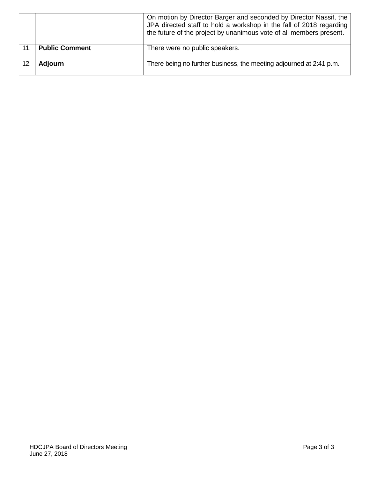|                 |                       | On motion by Director Barger and seconded by Director Nassif, the<br>JPA directed staff to hold a workshop in the fall of 2018 regarding<br>the future of the project by unanimous vote of all members present. |
|-----------------|-----------------------|-----------------------------------------------------------------------------------------------------------------------------------------------------------------------------------------------------------------|
| 11 <sup>1</sup> | <b>Public Comment</b> | There were no public speakers.                                                                                                                                                                                  |
|                 |                       |                                                                                                                                                                                                                 |
|                 | <b>Adjourn</b>        | There being no further business, the meeting adjourned at 2:41 p.m.                                                                                                                                             |
|                 |                       |                                                                                                                                                                                                                 |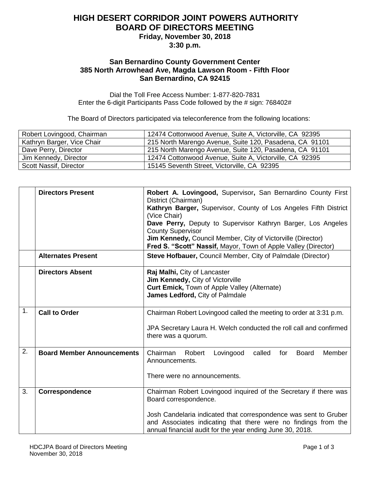### **HIGH DESERT CORRIDOR JOINT POWERS AUTHORITY BOARD OF DIRECTORS MEETING Friday, November 30, 2018**

**3:30 p.m.**

#### **San Bernardino County Government Center 385 North Arrowhead Ave, Magda Lawson Room - Fifth Floor San Bernardino, CA 92415**

Dial the Toll Free Access Number: 1-877-820-7831 Enter the 6-digit Participants Pass Code followed by the # sign: 768402#

The Board of Directors participated via teleconference from the following locations:

| Robert Lovingood, Chairman | 12474 Cottonwood Avenue, Suite A, Victorville, CA 92395 |
|----------------------------|---------------------------------------------------------|
| Kathryn Barger, Vice Chair | 215 North Marengo Avenue, Suite 120, Pasadena, CA 91101 |
| Dave Perry, Director       | 215 North Marengo Avenue, Suite 120, Pasadena, CA 91101 |
| Jim Kennedy, Director      | 12474 Cottonwood Avenue, Suite A, Victorville, CA 92395 |
| Scott Nassif, Director     | 15145 Seventh Street, Victorville, CA 92395             |

|    | <b>Directors Present</b>          | Robert A. Lovingood, Supervisor, San Bernardino County First<br>District (Chairman)                                                |
|----|-----------------------------------|------------------------------------------------------------------------------------------------------------------------------------|
|    |                                   | Kathryn Barger, Supervisor, County of Los Angeles Fifth District<br>(Vice Chair)                                                   |
|    |                                   | Dave Perry, Deputy to Supervisor Kathryn Barger, Los Angeles                                                                       |
|    |                                   | <b>County Supervisor</b>                                                                                                           |
|    |                                   | Jim Kennedy, Council Member, City of Victorville (Director)                                                                        |
|    |                                   | Fred S. "Scott" Nassif, Mayor, Town of Apple Valley (Director)                                                                     |
|    | <b>Alternates Present</b>         | <b>Steve Hofbauer, Council Member, City of Palmdale (Director)</b>                                                                 |
|    | <b>Directors Absent</b>           | Raj Malhi, City of Lancaster                                                                                                       |
|    |                                   | Jim Kennedy, City of Victorville                                                                                                   |
|    |                                   | <b>Curt Emick, Town of Apple Valley (Alternate)</b>                                                                                |
|    |                                   | James Ledford, City of Palmdale                                                                                                    |
| 1. | <b>Call to Order</b>              | Chairman Robert Lovingood called the meeting to order at 3:31 p.m.                                                                 |
|    |                                   | JPA Secretary Laura H. Welch conducted the roll call and confirmed                                                                 |
|    |                                   | there was a quorum.                                                                                                                |
| 2. | <b>Board Member Announcements</b> | Chairman<br>called<br><b>Board</b><br>Member<br>Robert<br>Lovingood<br>for                                                         |
|    |                                   | Announcements.                                                                                                                     |
|    |                                   | There were no announcements.                                                                                                       |
|    |                                   |                                                                                                                                    |
| 3. | Correspondence                    | Chairman Robert Lovingood inquired of the Secretary if there was                                                                   |
|    |                                   | Board correspondence.                                                                                                              |
|    |                                   |                                                                                                                                    |
|    |                                   | Josh Candelaria indicated that correspondence was sent to Gruber<br>and Associates indicating that there were no findings from the |
|    |                                   | annual financial audit for the year ending June 30, 2018.                                                                          |
|    |                                   |                                                                                                                                    |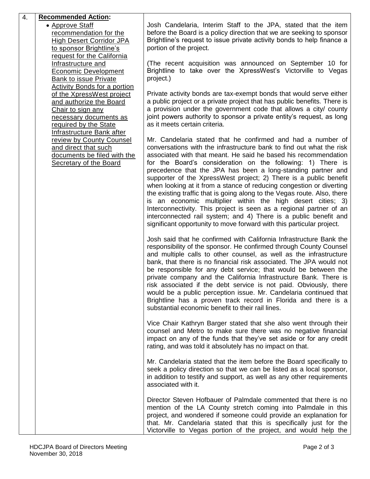| 4.                                                                                                                                                                                        | <b>Recommended Action:</b>                                                                                                                                                                                                                                                                                                    |                                                                                                                                                                                                                                                                                                                                                                                                                                                                                                                                                                                                                                                                                                                                                                                                                                                   |
|-------------------------------------------------------------------------------------------------------------------------------------------------------------------------------------------|-------------------------------------------------------------------------------------------------------------------------------------------------------------------------------------------------------------------------------------------------------------------------------------------------------------------------------|---------------------------------------------------------------------------------------------------------------------------------------------------------------------------------------------------------------------------------------------------------------------------------------------------------------------------------------------------------------------------------------------------------------------------------------------------------------------------------------------------------------------------------------------------------------------------------------------------------------------------------------------------------------------------------------------------------------------------------------------------------------------------------------------------------------------------------------------------|
|                                                                                                                                                                                           | • Approve Staff<br>recommendation for the<br><b>High Desert Corridor JPA</b><br>to sponsor Brightline's<br>request for the California                                                                                                                                                                                         | Josh Candelaria, Interim Staff to the JPA, stated that the item<br>before the Board is a policy direction that we are seeking to sponsor<br>Brightline's request to issue private activity bonds to help finance a<br>portion of the project.                                                                                                                                                                                                                                                                                                                                                                                                                                                                                                                                                                                                     |
|                                                                                                                                                                                           | Infrastructure and<br><b>Economic Development</b><br><b>Bank to issue Private</b>                                                                                                                                                                                                                                             | (The recent acquisition was announced on September 10 for<br>Brightline to take over the XpressWest's Victorville to Vegas<br>project.)                                                                                                                                                                                                                                                                                                                                                                                                                                                                                                                                                                                                                                                                                                           |
| Activity Bonds for a portion<br>of the XpressWest project<br>and authorize the Board<br>Chair to sign any<br>necessary documents as<br>required by the State<br>Infrastructure Bank after | Private activity bonds are tax-exempt bonds that would serve either<br>a public project or a private project that has public benefits. There is<br>a provision under the government code that allows a city/ county<br>joint powers authority to sponsor a private entity's request, as long<br>as it meets certain criteria. |                                                                                                                                                                                                                                                                                                                                                                                                                                                                                                                                                                                                                                                                                                                                                                                                                                                   |
|                                                                                                                                                                                           | review by County Counsel<br>and direct that such<br>documents be filed with the<br><b>Secretary of the Board</b>                                                                                                                                                                                                              | Mr. Candelaria stated that he confirmed and had a number of<br>conversations with the infrastructure bank to find out what the risk<br>associated with that meant. He said he based his recommendation<br>for the Board's consideration on the following: 1) There is<br>precedence that the JPA has been a long-standing partner and<br>supporter of the XpressWest project; 2) There is a public benefit<br>when looking at it from a stance of reducing congestion or diverting<br>the existing traffic that is going along to the Vegas route. Also, there<br>is an economic multiplier within the high desert cities; 3)<br>Interconnectivity. This project is seen as a regional partner of an<br>interconnected rail system; and 4) There is a public benefit and<br>significant opportunity to move forward with this particular project. |
|                                                                                                                                                                                           |                                                                                                                                                                                                                                                                                                                               | Josh said that he confirmed with California Infrastructure Bank the<br>responsibility of the sponsor. He confirmed through County Counsel<br>and multiple calls to other counsel, as well as the infrastructure<br>bank, that there is no financial risk associated. The JPA would not<br>be responsible for any debt service; that would be between the<br>private company and the California Infrastructure Bank. There is<br>risk associated if the debt service is not paid. Obviously, there<br>would be a public perception issue. Mr. Candelaria continued that<br>Brightline has a proven track record in Florida and there is a<br>substantial economic benefit to their rail lines.                                                                                                                                                     |
|                                                                                                                                                                                           |                                                                                                                                                                                                                                                                                                                               | Vice Chair Kathryn Barger stated that she also went through their<br>counsel and Metro to make sure there was no negative financial<br>impact on any of the funds that they've set aside or for any credit<br>rating, and was told it absolutely has no impact on that.                                                                                                                                                                                                                                                                                                                                                                                                                                                                                                                                                                           |
|                                                                                                                                                                                           |                                                                                                                                                                                                                                                                                                                               | Mr. Candelaria stated that the item before the Board specifically to<br>seek a policy direction so that we can be listed as a local sponsor,<br>in addition to testify and support, as well as any other requirements<br>associated with it.                                                                                                                                                                                                                                                                                                                                                                                                                                                                                                                                                                                                      |
|                                                                                                                                                                                           |                                                                                                                                                                                                                                                                                                                               | Director Steven Hofbauer of Palmdale commented that there is no<br>mention of the LA County stretch coming into Palmdale in this<br>project, and wondered if someone could provide an explanation for<br>that. Mr. Candelaria stated that this is specifically just for the<br>Victorville to Vegas portion of the project, and would help the                                                                                                                                                                                                                                                                                                                                                                                                                                                                                                    |